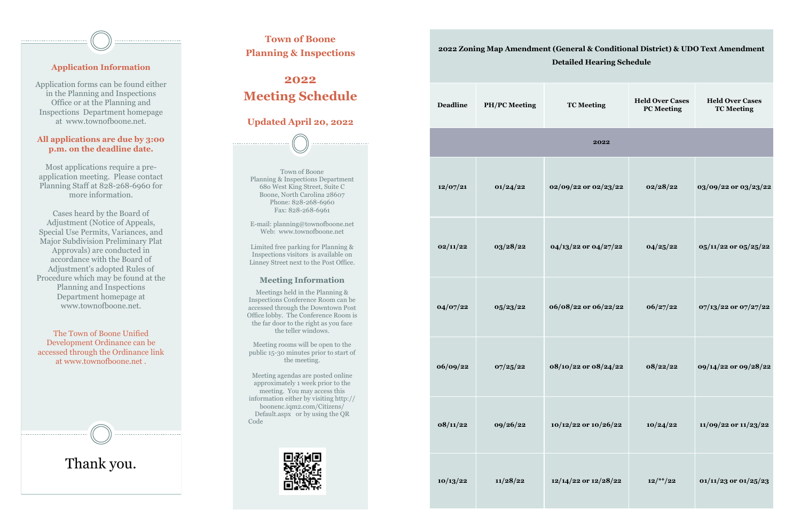## **Application Information**

Application forms can be found either in the Planning and Inspections Office or at the Planning and Inspections Department homepage at www.townofboone.net.

## **All applications are due by 3:00 p.m. on the deadline date.**

\_\_\_\_\_\_\_\_\_\_

Most applications require a preapplication meeting. Please contact Planning Staff at 828-268-6960 for more information.

Cases heard by the Board of Adjustment (Notice of Appeals, Special Use Permits, Variances, and Major Subdivision Preliminary Plat Approvals) are conducted in accordance with the Board of Adjustment's adopted Rules of Procedure which may be found at the Planning and Inspections Department homepage at www.townofboone.net.

The Town of Boone Unified Development Ordinance can be accessed through the Ordinance link at www.townofboone.net .

| <b>Town of Boone</b><br><b>Planning &amp; Inspections</b><br>2022                                                                                                                                                                                                                                                        |  | 2022 Zoning Map Amendment (General & Conditional District) & UI<br><b>Detailed Hearing Schedule</b> |                      |                          |                                             |  |
|--------------------------------------------------------------------------------------------------------------------------------------------------------------------------------------------------------------------------------------------------------------------------------------------------------------------------|--|-----------------------------------------------------------------------------------------------------|----------------------|--------------------------|---------------------------------------------|--|
| <b>Meeting Schedule</b>                                                                                                                                                                                                                                                                                                  |  | <b>Deadline</b>                                                                                     | <b>PH/PC Meeting</b> | <b>TC Meeting</b>        | <b>Held Over Cases</b><br><b>PC</b> Meeting |  |
| <b>Updated April 20, 2022</b>                                                                                                                                                                                                                                                                                            |  | 2022                                                                                                |                      |                          |                                             |  |
| Town of Boone<br>Planning & Inspections Department<br>680 West King Street, Suite C<br>Boone, North Carolina 28607<br>Phone: 828-268-6960<br>Fax: 828-268-6961                                                                                                                                                           |  | 12/07/21                                                                                            | 01/24/22             | 02/09/22 or 02/23/22     | 02/28/22                                    |  |
| E-mail: planning@townofboone.net<br>Web: www.townofboone.net<br>Limited free parking for Planning &<br>Inspections visitors is available on<br>Linney Street next to the Post Office.                                                                                                                                    |  | 02/11/22                                                                                            | 03/28/22             | 04/13/22 or 04/27/22     | 04/25/22                                    |  |
| <b>Meeting Information</b><br>Meetings held in the Planning &<br>Inspections Conference Room can be<br>accessed through the Downtown Post<br>Office lobby. The Conference Room is<br>the far door to the right as you face<br>the teller windows.                                                                        |  | 04/07/22                                                                                            | 05/23/22             | 06/08/22 or 06/22/22     | 06/27/22                                    |  |
| Meeting rooms will be open to the<br>public 15-30 minutes prior to start of<br>the meeting.<br>Meeting agendas are posted online<br>approximately 1 week prior to the<br>meeting. You may access this<br>information either by visiting http://<br>boonenc.iqm2.com/Citizens/<br>Default.aspx or by using the QR<br>Code |  | 06/09/22                                                                                            | 07/25/22             | 08/10/22 or 08/24/22     | 08/22/22                                    |  |
|                                                                                                                                                                                                                                                                                                                          |  | 08/11/22                                                                                            | 09/26/22             | $10/12/22$ or $10/26/22$ | 10/24/22                                    |  |
|                                                                                                                                                                                                                                                                                                                          |  | 10/13/22                                                                                            | 11/28/22             | $12/14/22$ or $12/28/22$ | $12$ /**/22                                 |  |

| 2022 Zoning Map Amendment (General & Conditional District) & UDO Text Amendment<br><b>Detailed Hearing Schedule</b> |                      |                      |                                             |                                             |  |  |  |  |
|---------------------------------------------------------------------------------------------------------------------|----------------------|----------------------|---------------------------------------------|---------------------------------------------|--|--|--|--|
| <b>Deadline</b>                                                                                                     | <b>PH/PC Meeting</b> | <b>TC Meeting</b>    | <b>Held Over Cases</b><br><b>PC</b> Meeting | <b>Held Over Cases</b><br><b>TC Meeting</b> |  |  |  |  |
| 2022                                                                                                                |                      |                      |                                             |                                             |  |  |  |  |
| 12/07/21                                                                                                            | 01/24/22             | 02/09/22 or 02/23/22 | 02/28/22                                    | 03/09/22 or 03/23/22                        |  |  |  |  |
| 02/11/22                                                                                                            | 03/28/22             | 04/13/22 or 04/27/22 | 04/25/22                                    | 05/11/22 or 05/25/22                        |  |  |  |  |
| 04/07/22                                                                                                            | 05/23/22             | 06/08/22 or 06/22/22 | 06/27/22                                    | 07/13/22 or 07/27/22                        |  |  |  |  |
| 06/09/22                                                                                                            | 07/25/22             | 08/10/22 or 08/24/22 | 08/22/22                                    | 09/14/22 or 09/28/22                        |  |  |  |  |
| 08/11/22                                                                                                            | 09/26/22             | 10/12/22 or 10/26/22 | 10/24/22                                    | 11/09/22 or 11/23/22                        |  |  |  |  |
| 10/13/22                                                                                                            | 11/28/22             | 12/14/22 or 12/28/22 | $12/$ **/22                                 | 01/11/23 or 01/25/23                        |  |  |  |  |

Thank you.